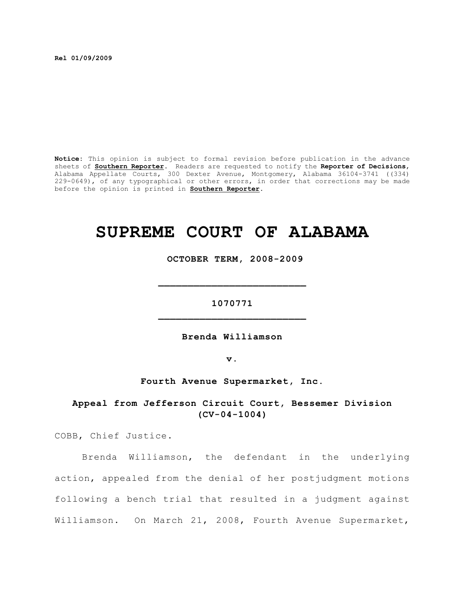**Rel 01/09/2009**

**Notice:** This opinion is subject to formal revision before publication in the advance sheets of **Southern Reporter**. Readers are requested to notify the **Reporter of Decisions**, Alabama Appellate Courts, 300 Dexter Avenue, Montgomery, Alabama 36104-3741 ((334) 229-0649), of any typographical or other errors, in order that corrections may be made before the opinion is printed in **Southern Reporter**.

# **SUPREME COURT OF ALABAMA**

 **OCTOBER TERM, 2008-2009**

**1070771 \_\_\_\_\_\_\_\_\_\_\_\_\_\_\_\_\_\_\_\_\_\_\_\_\_**

**\_\_\_\_\_\_\_\_\_\_\_\_\_\_\_\_\_\_\_\_\_\_\_\_\_**

**Brenda Williamson**

**v.**

**Fourth Avenue Supermarket, Inc.**

**Appeal from Jefferson Circuit Court, Bessemer Division (CV-04-1004)**

COBB, Chief Justice.

Brenda Williamson, the defendant in the underlying action, appealed from the denial of her postjudgment motions following a bench trial that resulted in a judgment against Williamson. On March 21, 2008, Fourth Avenue Supermarket,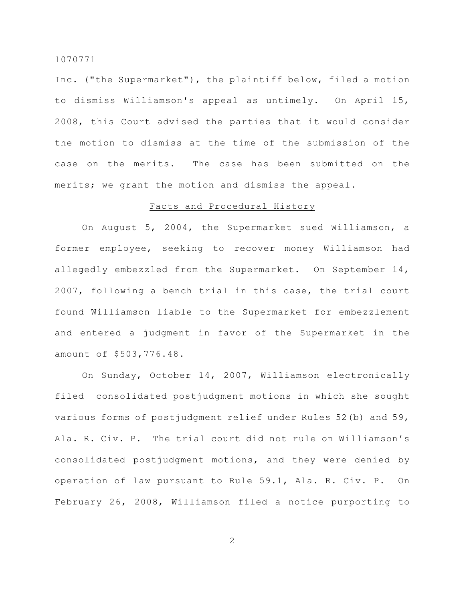Inc. ("the Supermarket"), the plaintiff below, filed a motion to dismiss Williamson's appeal as untimely. On April 15, 2008, this Court advised the parties that it would consider the motion to dismiss at the time of the submission of the case on the merits. The case has been submitted on the merits; we grant the motion and dismiss the appeal.

# Facts and Procedural History

On August 5, 2004, the Supermarket sued Williamson, a former employee, seeking to recover money Williamson had allegedly embezzled from the Supermarket. On September 14, 2007, following a bench trial in this case, the trial court found Williamson liable to the Supermarket for embezzlement and entered a judgment in favor of the Supermarket in the amount of \$503,776.48.

On Sunday, October 14, 2007, Williamson electronically filed consolidated postjudgment motions in which she sought various forms of postjudgment relief under Rules 52(b) and 59, Ala. R. Civ. P. The trial court did not rule on Williamson's consolidated postjudgment motions, and they were denied by operation of law pursuant to Rule 59.1, Ala. R. Civ. P. On February 26, 2008, Williamson filed a notice purporting to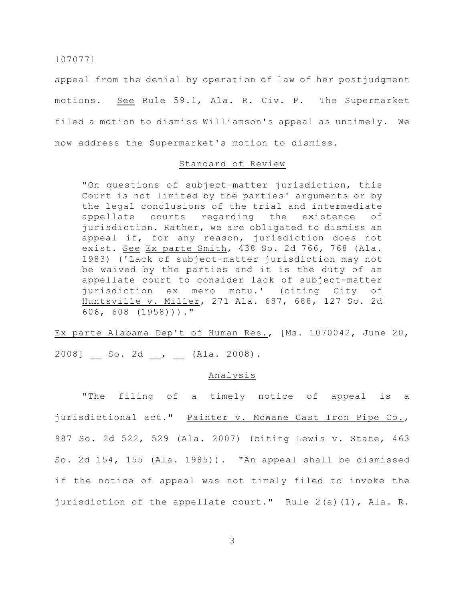appeal from the denial by operation of law of her postjudgment motions. See Rule 59.1, Ala. R. Civ. P. The Supermarket filed a motion to dismiss Williamson's appeal as untimely. We now address the Supermarket's motion to dismiss.

## Standard of Review

"On questions of subject-matter jurisdiction, this Court is not limited by the parties' arguments or by the legal conclusions of the trial and intermediate appellate courts regarding the existence of jurisdiction. Rather, we are obligated to dismiss an appeal if, for any reason, jurisdiction does not exist. See Ex parte Smith, 438 So. 2d 766, 768 (Ala. 1983) ('Lack of subject-matter jurisdiction may not be waived by the parties and it is the duty of an appellate court to consider lack of subject-matter jurisdiction ex mero motu.' (citing City of Huntsville v. Miller, 271 Ala. 687, 688, 127 So. 2d 606, 608 (1958)))."

Ex parte Alabama Dep't of Human Res., [Ms. 1070042, June 20, 2008] \_ So. 2d \_, \_ (Ala. 2008).

# Analysis

"The filing of a timely notice of appeal is a jurisdictional act." Painter v. McWane Cast Iron Pipe Co., 987 So. 2d 522, 529 (Ala. 2007) (citing Lewis v. State, 463 So. 2d 154, 155 (Ala. 1985)). "An appeal shall be dismissed if the notice of appeal was not timely filed to invoke the jurisdiction of the appellate court." Rule 2(a)(1), Ala. R.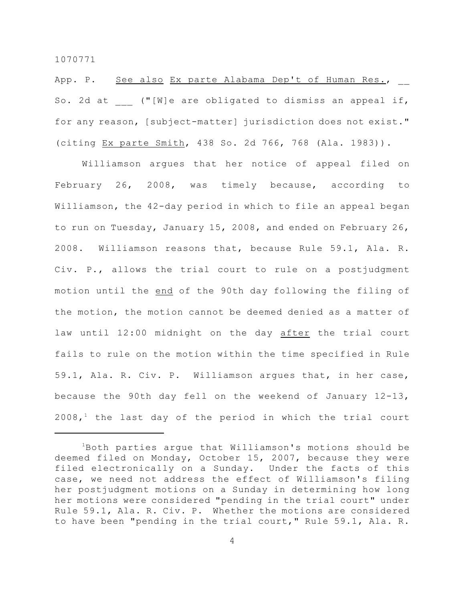App. P. See also Ex parte Alabama Dep't of Human Res., So. 2d at  $($  "[W]e are obligated to dismiss an appeal if, for any reason, [subject-matter] jurisdiction does not exist." (citing Ex parte Smith, 438 So. 2d 766, 768 (Ala. 1983)).

Williamson argues that her notice of appeal filed on February 26, 2008, was timely because, according to Williamson, the 42-day period in which to file an appeal began to run on Tuesday, January 15, 2008, and ended on February 26, 2008. Williamson reasons that, because Rule 59.1, Ala. R. Civ. P., allows the trial court to rule on a postjudgment motion until the end of the 90th day following the filing of the motion, the motion cannot be deemed denied as a matter of law until 12:00 midnight on the day after the trial court fails to rule on the motion within the time specified in Rule 59.1, Ala. R. Civ. P. Williamson argues that, in her case, because the 90th day fell on the weekend of January 12-13,  $2008<sub>1</sub><sup>1</sup>$  the last day of the period in which the trial court

 $1B$ oth parties arque that Williamson's motions should be deemed filed on Monday, October 15, 2007, because they were filed electronically on a Sunday. Under the facts of this case, we need not address the effect of Williamson's filing her postjudgment motions on a Sunday in determining how long her motions were considered "pending in the trial court" under Rule 59.1, Ala. R. Civ. P. Whether the motions are considered to have been "pending in the trial court," Rule 59.1, Ala. R.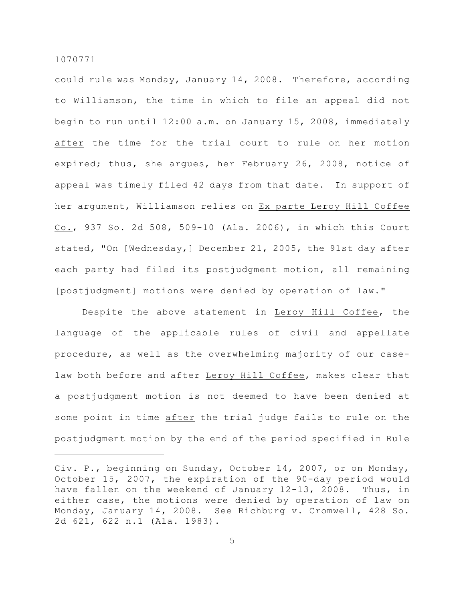could rule was Monday, January 14, 2008. Therefore, according to Williamson, the time in which to file an appeal did not begin to run until 12:00 a.m. on January 15, 2008, immediately after the time for the trial court to rule on her motion expired; thus, she argues, her February 26, 2008, notice of appeal was timely filed 42 days from that date. In support of her argument, Williamson relies on Ex parte Leroy Hill Coffee Co., 937 So. 2d 508, 509-10 (Ala. 2006), in which this Court stated, "On [Wednesday,] December 21, 2005, the 91st day after each party had filed its postjudgment motion, all remaining [postjudgment] motions were denied by operation of law."

Despite the above statement in Leroy Hill Coffee, the language of the applicable rules of civil and appellate procedure, as well as the overwhelming majority of our caselaw both before and after Leroy Hill Coffee, makes clear that a postjudgment motion is not deemed to have been denied at some point in time after the trial judge fails to rule on the postjudgment motion by the end of the period specified in Rule

Civ. P., beginning on Sunday, October 14, 2007, or on Monday, October 15, 2007, the expiration of the 90-day period would have fallen on the weekend of January 12-13, 2008. Thus, in either case, the motions were denied by operation of law on Monday, January 14, 2008. See Richburg v. Cromwell, 428 So. 2d 621, 622 n.1 (Ala. 1983).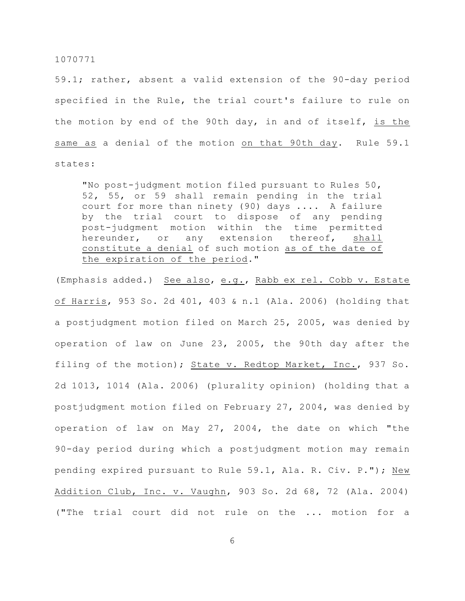59.1; rather, absent a valid extension of the 90-day period specified in the Rule, the trial court's failure to rule on the motion by end of the 90th day, in and of itself, is the same as a denial of the motion on that 90th day. Rule 59.1 states:

"No post-judgment motion filed pursuant to Rules 50, 52, 55, or 59 shall remain pending in the trial court for more than ninety (90) days .... A failure by the trial court to dispose of any pending post-judgment motion within the time permitted hereunder, or any extension thereof, shall constitute a denial of such motion as of the date of the expiration of the period."

(Emphasis added.) See also, e.g., Rabb ex rel. Cobb v. Estate of Harris, 953 So. 2d 401, 403 & n.1 (Ala. 2006) (holding that a postjudgment motion filed on March 25, 2005, was denied by operation of law on June 23, 2005, the 90th day after the filing of the motion); State v. Redtop Market, Inc., 937 So. 2d 1013, 1014 (Ala. 2006) (plurality opinion) (holding that a postjudgment motion filed on February 27, 2004, was denied by operation of law on May 27, 2004, the date on which "the 90-day period during which a postjudgment motion may remain pending expired pursuant to Rule 59.1, Ala. R. Civ. P."); New Addition Club, Inc. v. Vaughn, 903 So. 2d 68, 72 (Ala. 2004) ("The trial court did not rule on the ... motion for a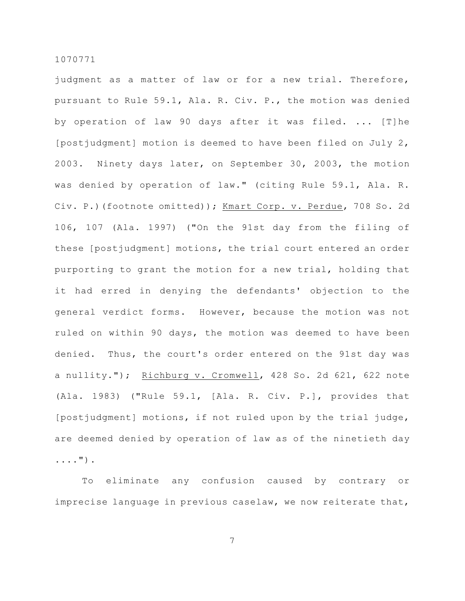judgment as a matter of law or for a new trial. Therefore, pursuant to Rule 59.1, Ala. R. Civ. P., the motion was denied by operation of law 90 days after it was filed. ... [T]he [postjudgment] motion is deemed to have been filed on July 2, 2003. Ninety days later, on September 30, 2003, the motion was denied by operation of law." (citing Rule 59.1, Ala. R. Civ. P.)(footnote omitted)); Kmart Corp. v. Perdue, 708 So. 2d 106, 107 (Ala. 1997) ("On the 91st day from the filing of these [postjudgment] motions, the trial court entered an order purporting to grant the motion for a new trial, holding that it had erred in denying the defendants' objection to the general verdict forms. However, because the motion was not ruled on within 90 days, the motion was deemed to have been denied. Thus, the court's order entered on the 91st day was a nullity."); Richburg v. Cromwell, 428 So. 2d 621, 622 note (Ala. 1983) ("Rule 59.1, [Ala. R. Civ. P.], provides that [postjudgment] motions, if not ruled upon by the trial judge, are deemed denied by operation of law as of the ninetieth day ....").

To eliminate any confusion caused by contrary or imprecise language in previous caselaw, we now reiterate that,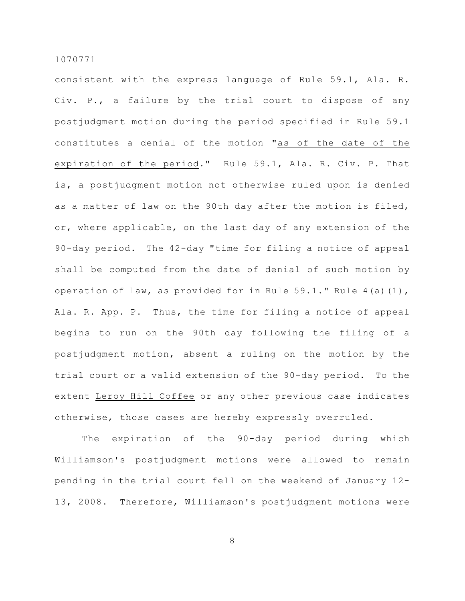consistent with the express language of Rule 59.1, Ala. R. Civ. P., a failure by the trial court to dispose of any postjudgment motion during the period specified in Rule 59.1 constitutes a denial of the motion "as of the date of the expiration of the period." Rule 59.1, Ala. R. Civ. P. That is, a postjudgment motion not otherwise ruled upon is denied as a matter of law on the 90th day after the motion is filed, or, where applicable, on the last day of any extension of the 90-day period. The 42-day "time for filing a notice of appeal shall be computed from the date of denial of such motion by operation of law, as provided for in Rule  $59.1$ ." Rule  $4(a)(1)$ , Ala. R. App. P. Thus, the time for filing a notice of appeal begins to run on the 90th day following the filing of a postjudgment motion, absent a ruling on the motion by the trial court or a valid extension of the 90-day period. To the extent Leroy Hill Coffee or any other previous case indicates otherwise, those cases are hereby expressly overruled.

The expiration of the 90-day period during which Williamson's postjudgment motions were allowed to remain pending in the trial court fell on the weekend of January 12- 13, 2008. Therefore, Williamson's postjudgment motions were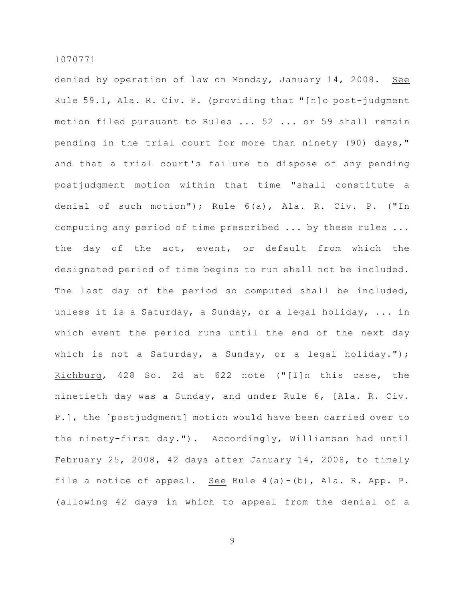denied by operation of law on Monday, January 14, 2008. See Rule 59.1, Ala. R. Civ. P. (providing that "[n]o post-judgment motion filed pursuant to Rules ... 52 ... or 59 shall remain pending in the trial court for more than ninety (90) days," and that a trial court's failure to dispose of any pending postjudgment motion within that time "shall constitute a denial of such motion"); Rule 6(a), Ala. R. Civ. P. ("In computing any period of time prescribed ... by these rules ... the day of the act, event, or default from which the designated period of time begins to run shall not be included. The last day of the period so computed shall be included, unless it is a Saturday, a Sunday, or a legal holiday, ... in which event the period runs until the end of the next day which is not a Saturday, a Sunday, or a legal holiday."); Richburg, 428 So. 2d at 622 note ("[I]n this case, the ninetieth day was a Sunday, and under Rule 6, [Ala. R. Civ. P.], the [postjudgment] motion would have been carried over to the ninety-first day."). Accordingly, Williamson had until February 25, 2008, 42 days after January 14, 2008, to timely file a notice of appeal. See Rule 4(a)-(b), Ala. R. App. P. (allowing 42 days in which to appeal from the denial of a